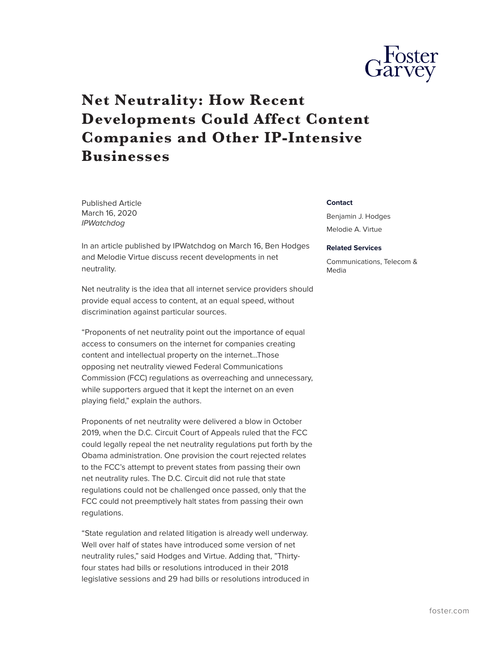

## **Net Neutrality: How Recent Developments Could Affect Content Companies and Other IP-Intensive Businesses**

Published Article March 16, 2020 *IPWatchdog*

In an article published by IPWatchdog on March 16, Ben Hodges and Melodie Virtue discuss recent developments in net neutrality.

Net neutrality is the idea that all internet service providers should provide equal access to content, at an equal speed, without discrimination against particular sources.

"Proponents of net neutrality point out the importance of equal access to consumers on the internet for companies creating content and intellectual property on the internet…Those opposing net neutrality viewed Federal Communications Commission (FCC) regulations as overreaching and unnecessary, while supporters argued that it kept the internet on an even playing field," explain the authors.

Proponents of net neutrality were delivered a blow in October 2019, when the D.C. Circuit Court of Appeals ruled that the FCC could legally repeal the net neutrality regulations put forth by the Obama administration. One provision the court rejected relates to the FCC's attempt to prevent states from passing their own net neutrality rules. The D.C. Circuit did not rule that state regulations could not be challenged once passed, only that the FCC could not preemptively halt states from passing their own regulations.

"State regulation and related litigation is already well underway. Well over half of states have introduced some version of net neutrality rules," said Hodges and Virtue. Adding that, "Thirtyfour states had bills or resolutions introduced in their 2018 legislative sessions and 29 had bills or resolutions introduced in

## **Contact**

Benjamin J. Hodges Melodie A. Virtue

## **Related Services**

Communications, Telecom & Media